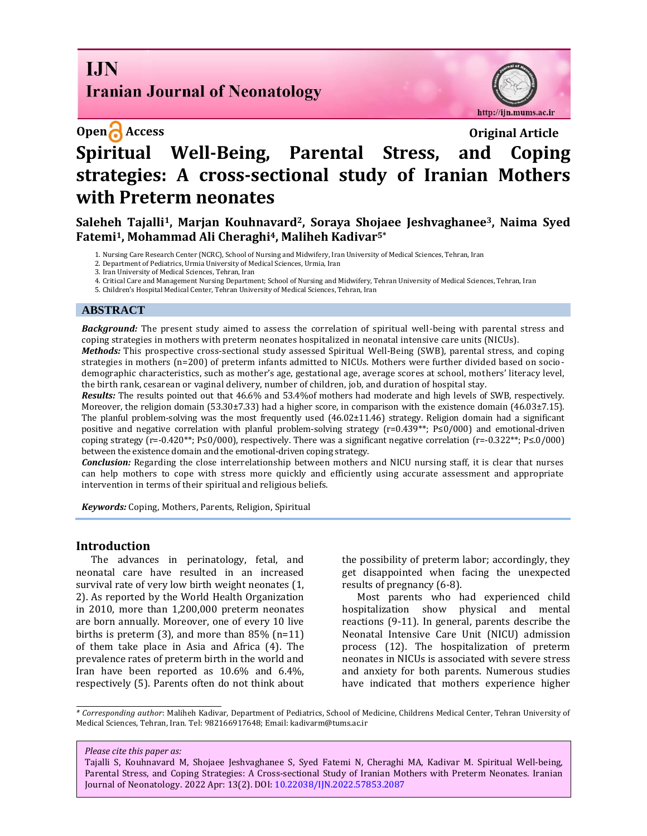# **I.IN Iranian Journal of Neonatology**

http://ijn.mums.ac.ir

# **Open Access Original Article Spiritual Well-Being, Parental Stress, and Coping strategies: A cross-sectional study of Iranian Mothers with Preterm neonates**

**Saleheh Tajalli1, Marjan Kouhnavard2, Soraya Shojaee Jeshvaghanee3, Naima Syed Fatemi1, Mohammad Ali Cheraghi4, Maliheh Kadivar5\***

1. Nursing Care Research Center (NCRC), School of Nursing and Midwifery, Iran University of Medical Sciences, Tehran, Iran

2. Department of Pediatrics, Urmia University of Medical Sciences, Urmia, Iran

3. Iran University of Medical Sciences, Tehran, Iran

4. Critical Care and Management Nursing Department; School of Nursing and Midwifery, Tehran University of Medical Sciences, Tehran, Iran

5. Children's Hospital Medical Center, Tehran University of Medical Sciences, Tehran, Iran

#### **ABSTRACT**

*Background:* The present study aimed to assess the correlation of spiritual well-being with parental stress and coping strategies in mothers with preterm neonates hospitalized in neonatal intensive care units (NICUs).

*Methods:* This prospective cross-sectional study assessed Spiritual Well-Being (SWB), parental stress, and coping strategies in mothers (n=200) of preterm infants admitted to NICUs. Mothers were further divided based on sociodemographic characteristics, such as mother's age, gestational age, average scores at school, mothers' literacy level, the birth rank, cesarean or vaginal delivery, number of children, job, and duration of hospital stay.

*Results:* The results pointed out that 46.6% and 53.4%of mothers had moderate and high levels of SWB, respectively. Moreover, the religion domain (53.30±7.33) had a higher score, in comparison with the existence domain (46.03±7.15). The planful problem-solving was the most frequently used (46.02±11.46) strategy. Religion domain had a significant positive and negative correlation with planful problem-solving strategy (r=0.439<sup>\*\*</sup>; P≤0/000) and emotional-driven coping strategy (r=-0.420\*\*; P≤0/000), respectively. There was a significant negative correlation (r=-0.322\*\*; P≤.0/000) between the existence domain and the emotional-driven coping strategy.

*Conclusion:* Regarding the close interrelationship between mothers and NICU nursing staff, it is clear that nurses can help mothers to cope with stress more quickly and efficiently using accurate assessment and appropriate intervention in terms of their spiritual and religious beliefs.

*Keywords:* Coping, Mothers, Parents, Religion, Spiritual

#### **Introduction**

The advances in perinatology, fetal, and neonatal care have resulted in an increased survival rate of very low birth weight neonates (1, 2). As reported by the World Health Organization in 2010, more than 1,200,000 preterm neonates are born annually. Moreover, one of every 10 live births is preterm (3), and more than 85% (n=11) of them take place in Asia and Africa (4). The prevalence rates of preterm birth in the world and Iran have been reported as 10.6% and 6.4%, respectively (5). Parents often do not think about

the possibility of preterm labor; accordingly, they get disappointed when facing the unexpected results of pregnancy (6-8).

Most parents who had experienced child hospitalization show physical and mental reactions (9-11). In general, parents describe the Neonatal Intensive Care Unit (NICU) admission process (12). The hospitalization of preterm neonates in NICUs is associated with severe stress and anxiety for both parents. Numerous studies have indicated that mothers experience higher

*\* Corresponding author*: Maliheh Kadivar, Department of Pediatrics, School of Medicine, Childrens Medical Center, Tehran University of Medical Sciences, Tehran, Iran. Tel: 982166917648; Email[: kadivarm@tums.ac.ir](mailto:kadivarm@tums.ac.ir)

*Please cite this paper as:*

Tajalli S, Kouhnavard M, Shojaee Jeshvaghanee S, Syed Fatemi N, Cheraghi MA, Kadivar M. Spiritual Well-being, Parental Stress, and Coping Strategies: A Cross-sectional Study of Iranian Mothers with Preterm Neonates. Iranian Journal of Neonatology. 2022 Apr: 13(2). DOI[: 10.22038/IJN.2022.57853.2087](https://ijn.mums.ac.ir/)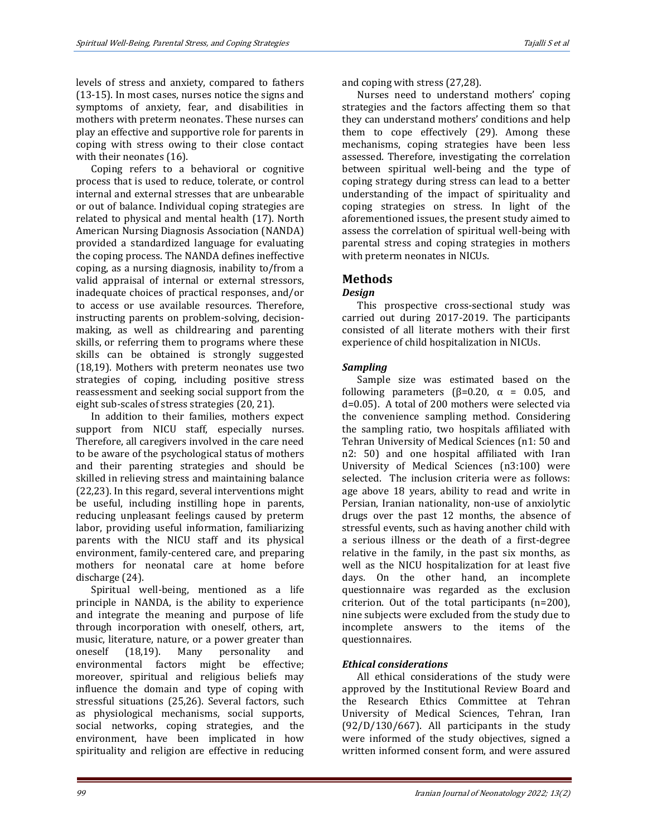levels of stress and anxiety, compared to fathers (13-15). In most cases, nurses notice the signs and symptoms of anxiety, fear, and disabilities in mothers with preterm neonates. These nurses can play an effective and supportive role for parents in coping with stress owing to their close contact with their neonates (16).

Coping refers to a behavioral or cognitive process that is used to reduce, tolerate, or control internal and external stresses that are unbearable or out of balance. Individual coping strategies are related to physical and mental health (17). North American Nursing Diagnosis Association (NANDA) provided a standardized language for evaluating the coping process. The NANDA defines ineffective coping, as a nursing diagnosis, inability to/from a valid appraisal of internal or external stressors, inadequate choices of practical responses, and/or to access or use available resources. Therefore, instructing parents on problem-solving, decisionmaking, as well as childrearing and parenting skills, or referring them to programs where these skills can be obtained is strongly suggested (18,19). Mothers with preterm neonates use two strategies of coping, including positive stress reassessment and seeking social support from the eight sub-scales of stress strategies (20, 21).

In addition to their families, mothers expect support from NICU staff, especially nurses. Therefore, all caregivers involved in the care need to be aware of the psychological status of mothers and their parenting strategies and should be skilled in relieving stress and maintaining balance (22,23). In this regard, several interventions might be useful, including instilling hope in parents, reducing unpleasant feelings caused by preterm labor, providing useful information, familiarizing parents with the NICU staff and its physical environment, family-centered care, and preparing mothers for neonatal care at home before discharge (24).

Spiritual well-being, mentioned as a life principle in NANDA, is the ability to experience and integrate the meaning and purpose of life through incorporation with oneself, others, art, music, literature, nature, or a power greater than oneself (18,19). Many personality and environmental factors might be effective; moreover, spiritual and religious beliefs may influence the domain and type of coping with stressful situations (25,26). Several factors, such as physiological mechanisms, social supports, social networks, coping strategies, and the environment, have been implicated in how spirituality and religion are effective in reducing

and coping with stress (27,28).

Nurses need to understand mothers' coping strategies and the factors affecting them so that they can understand mothers' conditions and help them to cope effectively (29). Among these mechanisms, coping strategies have been less assessed. Therefore, investigating the correlation between spiritual well-being and the type of coping strategy during stress can lead to a better understanding of the impact of spirituality and coping strategies on stress. In light of the aforementioned issues, the present study aimed to assess the correlation of spiritual well-being with parental stress and coping strategies in mothers with preterm neonates in NICUs.

# **Methods**

# *Design*

This prospective cross-sectional study was carried out during 2017-2019. The participants consisted of all literate mothers with their first experience of child hospitalization in NICUs.

# *Sampling*

Sample size was estimated based on the following parameters ( $\beta$ =0.20,  $\alpha$  = 0.05, and d=0.05). A total of 200 mothers were selected via the convenience sampling method. Considering the sampling ratio, two hospitals affiliated with Tehran University of Medical Sciences (n1: 50 and n2: 50) and one hospital affiliated with Iran University of Medical Sciences (n3:100) were selected. The inclusion criteria were as follows: age above 18 years, ability to read and write in Persian, Iranian nationality, non-use of anxiolytic drugs over the past 12 months, the absence of stressful events, such as having another child with a serious illness or the death of a first-degree relative in the family, in the past six months, as well as the NICU hospitalization for at least five days. On the other hand, an incomplete questionnaire was regarded as the exclusion criterion. Out of the total participants (n=200), nine subjects were excluded from the study due to incomplete answers to the items of the questionnaires.

# *Ethical considerations*

All ethical considerations of the study were approved by the Institutional Review Board and the Research Ethics Committee at Tehran University of Medical Sciences, Tehran, Iran (92/D/130/667). All participants in the study were informed of the study objectives, signed a written informed consent form, and were assured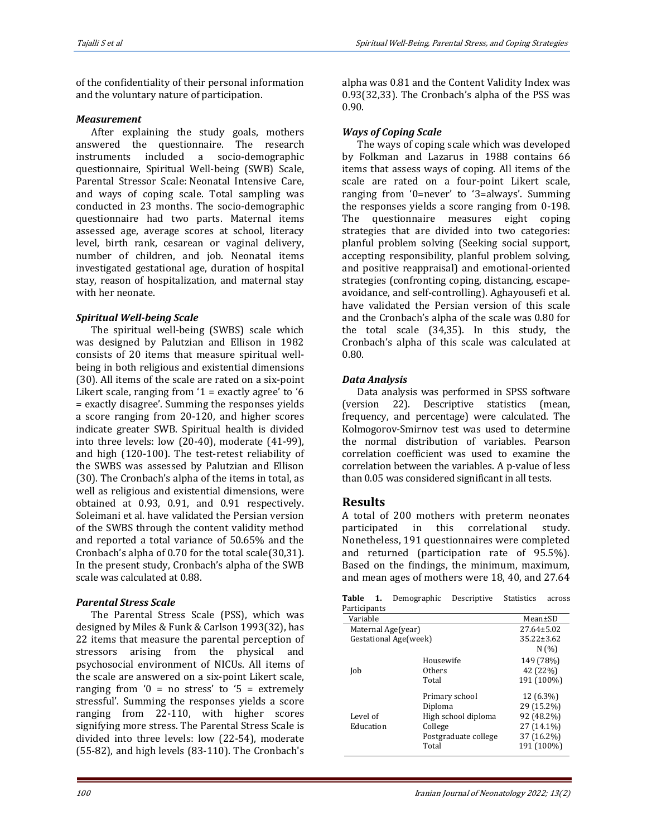of the confidentiality of their personal information and the voluntary nature of participation.

#### *Measurement*

After explaining the study goals, mothers answered the questionnaire. The research instruments included a socio-demographic questionnaire, Spiritual Well-being (SWB) Scale, Parental Stressor Scale: Neonatal Intensive Care, and ways of coping scale. Total sampling was conducted in 23 months. The socio-demographic questionnaire had two parts. Maternal items assessed age, average scores at school, literacy level, birth rank, cesarean or vaginal delivery, number of children, and job. Neonatal items investigated gestational age, duration of hospital stay, reason of hospitalization, and maternal stay with her neonate.

# *Spiritual Well-being Scale*

The spiritual well-being (SWBS) scale which was designed by Palutzian and Ellison in 1982 consists of 20 items that measure spiritual wellbeing in both religious and existential dimensions (30). All items of the scale are rated on a six-point Likert scale, ranging from  $1 =$  exactly agree' to  $6$ = exactly disagree'. Summing the responses yields a score ranging from 20-120, and higher scores indicate greater SWB. Spiritual health is divided into three levels: low (20-40), moderate (41-99), and high (120-100). The test-retest reliability of the SWBS was assessed by Palutzian and Ellison (30). The Cronbach's alpha of the items in total, as well as religious and existential dimensions, were obtained at 0.93, 0.91, and 0.91 respectively. Soleimani et al. have validated the Persian version of the SWBS through the content validity method and reported a total variance of 50.65% and the Cronbach's alpha of 0.70 for the total scale(30,31). In the present study, Cronbach's alpha of the SWB scale was calculated at 0.88.

# *Parental Stress Scale*

The Parental Stress Scale (PSS), which was designed by Miles & Funk & Carlson 1993(32), has 22 items that measure the parental perception of stressors arising from the physical and psychosocial environment of NICUs. All items of the scale are answered on a six-point Likert scale, ranging from  $0 = no$  stress' to  $5 =$  extremely stressful'. Summing the responses yields a score ranging from 22-110, with higher scores signifying more stress. The Parental Stress Scale is divided into three levels: low (22-54), moderate (55-82), and high levels (83-110). The Cronbach's

alpha was 0.81 and the Content Validity Index was 0.93(32,33). The Cronbach's alpha of the PSS was 0.90.

# *Ways of Coping Scale*

The ways of coping scale which was developed by Folkman and Lazarus in 1988 contains 66 items that assess ways of coping. All items of the scale are rated on a four-point Likert scale, ranging from '0=never' to '3=always'. Summing the responses yields a score ranging from 0-198. The questionnaire measures eight coping strategies that are divided into two categories: planful problem solving (Seeking social support, accepting responsibility, planful problem solving, and positive reappraisal) and emotional-oriented strategies (confronting coping, distancing, escapeavoidance, and self-controlling). Aghayousefi et al. have validated the Persian version of this scale and the Cronbach's alpha of the scale was 0.80 for the total scale (34,35). In this study, the Cronbach's alpha of this scale was calculated at 0.80.

# *Data Analysis*

Data analysis was performed in SPSS software (version 22). Descriptive statistics (mean, frequency, and percentage) were calculated. The Kolmogorov-Smirnov test was used to determine the normal distribution of variables. Pearson correlation coefficient was used to examine the correlation between the variables. A p-value of less than 0.05 was considered significant in all tests.

# **Results**

A total of 200 mothers with preterm neonates participated in this correlational study. Nonetheless, 191 questionnaires were completed and returned (participation rate of 95.5%). Based on the findings, the minimum, maximum, and mean ages of mothers were 18, 40, and 27.64

**Table 1.** Demographic Descriptive Statistics across Participants

| al titipants          |                      |                  |  |
|-----------------------|----------------------|------------------|--|
| Variable              | Mean±SD              |                  |  |
| Maternal Age(year)    | $27.64 \pm 5.02$     |                  |  |
| Gestational Age(week) |                      | $35.22 \pm 3.62$ |  |
|                       |                      | N(%)             |  |
|                       | Housewife            | 149 (78%)        |  |
| Job                   | Others               | 42 (22%)         |  |
|                       | Total                | 191 (100%)       |  |
|                       | Primary school       | 12 (6.3%)        |  |
|                       | Diploma              | 29 (15.2%)       |  |
| Level of              | High school diploma  | 92 (48.2%)       |  |
| Education             | College              | 27 (14.1%)       |  |
|                       | Postgraduate college | 37 (16.2%)       |  |
|                       | Total                | 191 (100%)       |  |
|                       |                      |                  |  |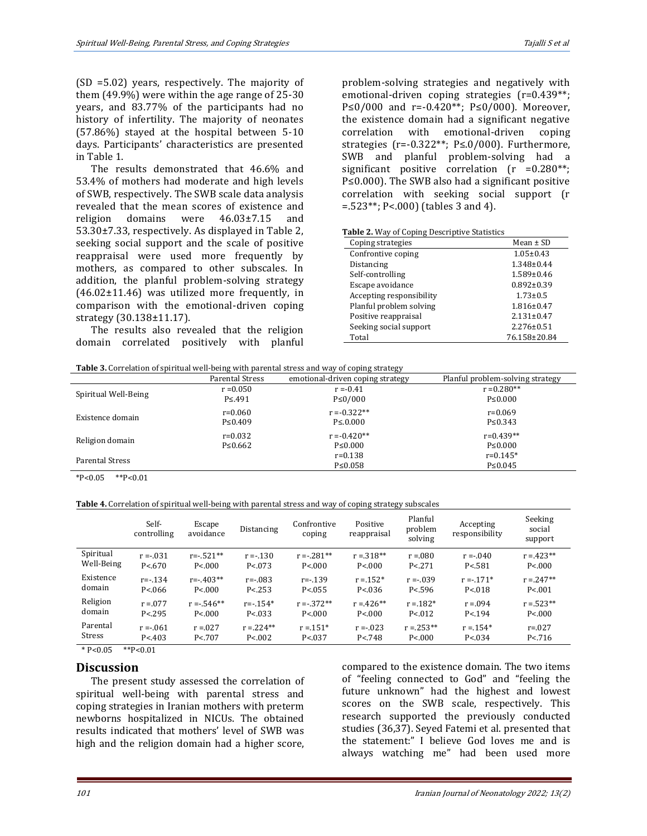(SD =5.02) years, respectively. The majority of them (49.9%) were within the age range of 25-30 years, and 83.77% of the participants had no history of infertility. The majority of neonates (57.86%) stayed at the hospital between 5-10 days. Participants' characteristics are presented in Table 1.

The results demonstrated that 46.6% and 53.4% of mothers had moderate and high levels of SWB, respectively. The SWB scale data analysis revealed that the mean scores of existence and religion domains were 46.03±7.15 and 53.30±7.33, respectively. As displayed in Table 2, seeking social support and the scale of positive reappraisal were used more frequently by mothers, as compared to other subscales. In addition, the planful problem-solving strategy  $(46.02 \pm 11.46)$  was utilized more frequently, in comparison with the emotional-driven coping strategy (30.138±11.17).

The results also revealed that the religion domain correlated positively with planful problem-solving strategies and negatively with emotional-driven coping strategies (r=0.439\*\*; P≤0/000 and r=-0.420<sup>\*\*</sup>; P≤0/000). Moreover, the existence domain had a significant negative correlation with emotional-driven coping strategies (r=-0.322\*\*; P≤.0/000). Furthermore, SWB and planful problem-solving had a significant positive correlation (r =0.280\*\*; P≤0.000). The SWB also had a significant positive correlation with seeking social support (r =.523\*\*; P<.000) (tables 3 and 4).

| Coping strategies        | Mean $\pm$ SD    |
|--------------------------|------------------|
| Confrontive coping       | $1.05 \pm 0.43$  |
| Distancing               | $1.348 \pm 0.44$ |
| Self-controlling         | $1.589 \pm 0.46$ |
| Escape avoidance         | $0.892 \pm 0.39$ |
| Accepting responsibility | $1.73 \pm 0.5$   |
| Planful problem solving  | $1.816 \pm 0.47$ |
| Positive reappraisal     | $2.131 \pm 0.47$ |
| Seeking social support   | $2.276 \pm 0.51$ |
| Total                    | 76.158±20.84     |
|                          |                  |

**Table 3.** Correlation of spiritual well-being with parental stress and way of coping strategy

|                        |                 | .                                |                                  |
|------------------------|-----------------|----------------------------------|----------------------------------|
|                        | Parental Stress | emotional-driven coping strategy | Planful problem-solving strategy |
|                        | $r = 0.050$     | $r = -0.41$                      | $r = 0.280**$                    |
| Spiritual Well-Being   | $P \le 491$     | $P \le 0/000$                    | $P \le 0.000$                    |
| Existence domain       | $r = 0.060$     | $r = -0.322**$                   | $r = 0.069$                      |
|                        | $P \le 0.409$   | $P \le 0.000$                    | $P \le 0.343$                    |
|                        | $r=0.032$       | $r = -0.420**$                   | $r=0.439**$                      |
| Religion domain        | $P \le 0.662$   | $P \le 0.000$                    | $P \le 0.000$                    |
| <b>Parental Stress</b> |                 | $r = 0.138$                      | $r=0.145*$                       |
|                        |                 | $P \le 0.058$                    | $P \le 0.045$                    |
|                        |                 |                                  |                                  |

 $*P<0.05$   $*P<0.01$ 

**Table 4.** Correlation of spiritual well-being with parental stress and way of coping strategy subscales

|               | Self-<br>controlling | Escape<br>avoidance | Distancing   | Confrontive<br>coping | Positive<br>reappraisal | Planful<br>problem<br>solving | Accepting<br>responsibility | Seeking<br>social<br>support |
|---------------|----------------------|---------------------|--------------|-----------------------|-------------------------|-------------------------------|-----------------------------|------------------------------|
| Spiritual     | $r = -0.31$          | $r = -0.521**$      | $r = -130$   | $r = -281**$          | $r = 318**$             | $r = 0.080$                   | $r = -0.040$                | $r = 423**$                  |
| Well-Being    | P < 670              | P < 000             | P < 0.073    | P < 000               | P < 000                 | P < 271                       | P < .581                    | P < 000                      |
| Existence     | $r = -0.134$         | $r=-.403**$         | $r = -0.083$ | $r = -0.139$          | $r = 152*$              | $r = -0.39$                   | $r = -171*$                 | $r = 247**$                  |
| domain        | P < 066              | P < 000             | P < 253      | P < 0.55              | P < 0.36                | P < .596                      | P < 018                     | P < 001                      |
| Religion      | $r = 0.077$          | $r = -0.546**$      | $r = -154*$  | $r = -372**$          | $r = 426**$             | $r = 182*$                    | $r = 0.094$                 | $r = 523**$                  |
| domain        | P < 295              | P < 000             | P < 0.33     | P < 000               | P < 000                 | P < 012                       | P < 194                     | P < 000                      |
| Parental      | $r = -061$           | $r = 0.027$         | $r = 224**$  | $r = 151*$            | $r = -023$              | $r = 253**$                   | $r = 154*$                  | $r = 0.027$                  |
| <b>Stress</b> | P < 403              | P < 707             | P < 002      | P < 0.37              | P < 748                 | P < 000                       | P < 0.034                   | P < .716                     |

 $*P<0.05$   $*P<0.01$ 

# **Discussion**

The present study assessed the correlation of spiritual well-being with parental stress and coping strategies in Iranian mothers with preterm newborns hospitalized in NICUs. The obtained results indicated that mothers' level of SWB was high and the religion domain had a higher score, compared to the existence domain. The two items of "feeling connected to God" and "feeling the future unknown" had the highest and lowest scores on the SWB scale, respectively. This research supported the previously conducted studies (36,37). Seyed Fatemi et al. presented that the statement:" I believe God loves me and is always watching me" had been used more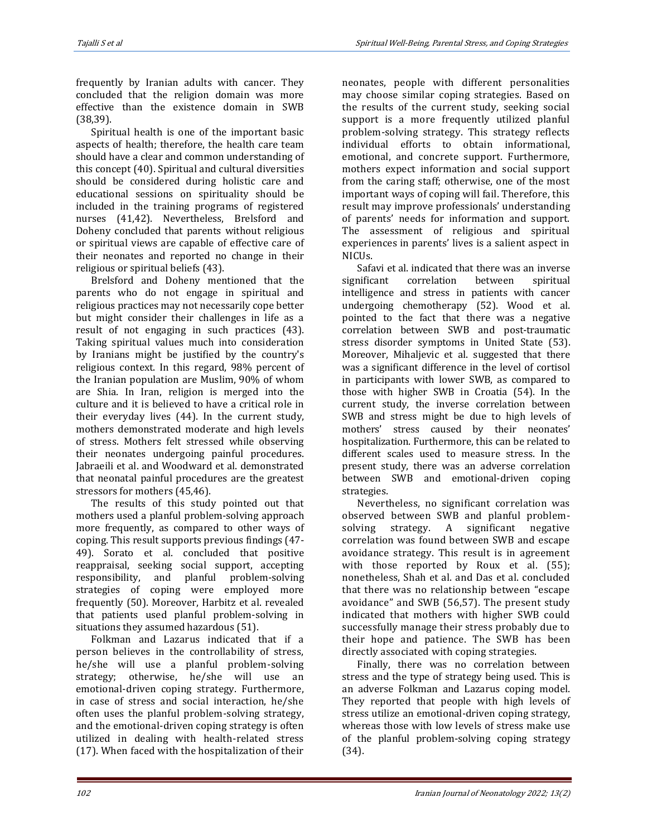frequently by Iranian adults with cancer. They concluded that the religion domain was more effective than the existence domain in SWB (38,39).

Spiritual health is one of the important basic aspects of health; therefore, the health care team should have a clear and common understanding of this concept (40). Spiritual and cultural diversities should be considered during holistic care and educational sessions on spirituality should be included in the training programs of registered nurses (41,42). Nevertheless, Brelsford and Doheny concluded that parents without religious or spiritual views are capable of effective care of their neonates and reported no change in their religious or spiritual beliefs (43).

Brelsford and Doheny mentioned that the parents who do not engage in spiritual and religious practices may not necessarily cope better but might consider their challenges in life as a result of not engaging in such practices (43). Taking spiritual values much into consideration by Iranians might be justified by the country's religious context. In this regard, 98% percent of the Iranian population are Muslim, 90% of whom are Shia. In Iran, religion is merged into the culture and it is believed to have a critical role in their everyday lives (44). In the current study, mothers demonstrated moderate and high levels of stress. Mothers felt stressed while observing their neonates undergoing painful procedures. Jabraeili et al. and Woodward et al. demonstrated that neonatal painful procedures are the greatest stressors for mothers (45,46).

The results of this study pointed out that mothers used a planful problem-solving approach more frequently, as compared to other ways of coping. This result supports previous findings (47- 49). Sorato et al. concluded that positive reappraisal, seeking social support, accepting responsibility, and planful problem-solving strategies of coping were employed more frequently (50). Moreover, Harbitz et al. revealed that patients used planful problem-solving in situations they assumed hazardous (51).

Folkman and Lazarus indicated that if a person believes in the controllability of stress, he/she will use a planful problem-solving strategy; otherwise, he/she will use an emotional-driven coping strategy. Furthermore, in case of stress and social interaction, he/she often uses the planful problem-solving strategy, and the emotional-driven coping strategy is often utilized in dealing with health-related stress (17). When faced with the hospitalization of their neonates, people with different personalities may choose similar coping strategies. Based on the results of the current study, seeking social support is a more frequently utilized planful problem-solving strategy. This strategy reflects individual efforts to obtain informational, emotional, and concrete support. Furthermore, mothers expect information and social support from the caring staff; otherwise, one of the most important ways of coping will fail. Therefore, this result may improve professionals' understanding of parents' needs for information and support. The assessment of religious and spiritual experiences in parents' lives is a salient aspect in NICUs.

Safavi et al. indicated that there was an inverse significant correlation between spiritual intelligence and stress in patients with cancer undergoing chemotherapy (52). Wood et al. pointed to the fact that there was a negative correlation between SWB and post-traumatic stress disorder symptoms in United State (53). Moreover, Mihaljevic et al. suggested that there was a significant difference in the level of cortisol in participants with lower SWB, as compared to those with higher SWB in Croatia (54). In the current study, the inverse correlation between SWB and stress might be due to high levels of mothers' stress caused by their neonates' hospitalization. Furthermore, this can be related to different scales used to measure stress. In the present study, there was an adverse correlation between SWB and emotional-driven coping strategies.

Nevertheless, no significant correlation was observed between SWB and planful problemsolving strategy. A significant negative correlation was found between SWB and escape avoidance strategy. This result is in agreement with those reported by Roux et al. (55); nonetheless, Shah et al. and Das et al. concluded that there was no relationship between "escape avoidance" and SWB (56,57). The present study indicated that mothers with higher SWB could successfully manage their stress probably due to their hope and patience. The SWB has been directly associated with coping strategies.

Finally, there was no correlation between stress and the type of strategy being used. This is an adverse Folkman and Lazarus coping model. They reported that people with high levels of stress utilize an emotional-driven coping strategy, whereas those with low levels of stress make use of the planful problem-solving coping strategy (34).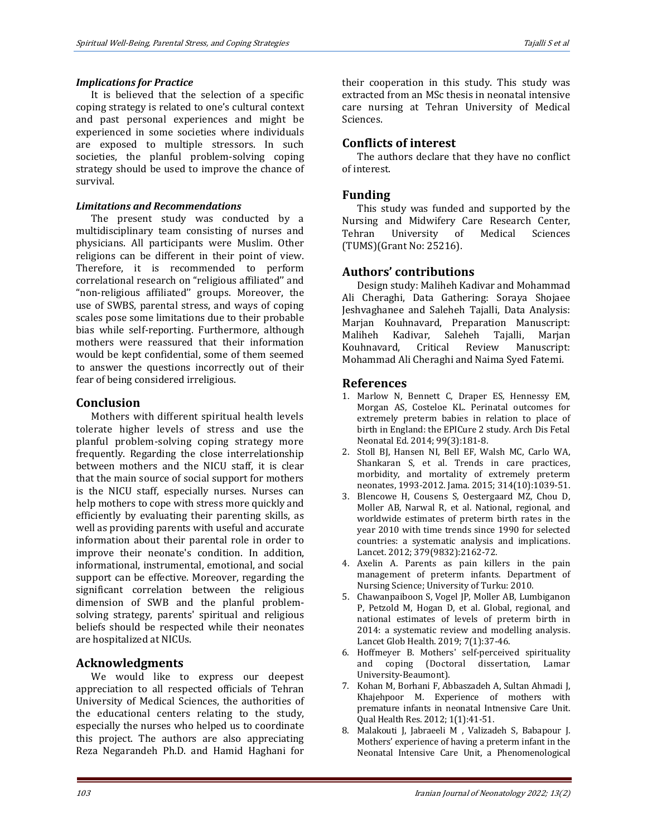#### *Implications for Practice*

It is believed that the selection of a specific coping strategy is related to one's cultural context and past personal experiences and might be experienced in some societies where individuals are exposed to multiple stressors. In such societies, the planful problem-solving coping strategy should be used to improve the chance of survival.

#### *Limitations and Recommendations*

The present study was conducted by a multidisciplinary team consisting of nurses and physicians. All participants were Muslim. Other religions can be different in their point of view. Therefore, it is recommended to perform correlational research on "religious affiliated'' and "non-religious affiliated'' groups. Moreover, the use of SWBS, parental stress, and ways of coping scales pose some limitations due to their probable bias while self-reporting. Furthermore, although mothers were reassured that their information would be kept confidential, some of them seemed to answer the questions incorrectly out of their fear of being considered irreligious.

#### **Conclusion**

Mothers with different spiritual health levels tolerate higher levels of stress and use the planful problem-solving coping strategy more frequently. Regarding the close interrelationship between mothers and the NICU staff, it is clear that the main source of social support for mothers is the NICU staff, especially nurses. Nurses can help mothers to cope with stress more quickly and efficiently by evaluating their parenting skills, as well as providing parents with useful and accurate information about their parental role in order to improve their neonate's condition. In addition, informational, instrumental, emotional, and social support can be effective. Moreover, regarding the significant correlation between the religious dimension of SWB and the planful problemsolving strategy, parents' spiritual and religious beliefs should be respected while their neonates are hospitalized at NICUs.

# **Acknowledgments**

We would like to express our deepest appreciation to all respected officials of Tehran University of Medical Sciences, the authorities of the educational centers relating to the study, especially the nurses who helped us to coordinate this project. The authors are also appreciating Reza Negarandeh Ph.D. and Hamid Haghani for

their cooperation in this study. This study was extracted from an MSc thesis in neonatal intensive care nursing at Tehran University of Medical Sciences.

# **Conflicts of interest**

The authors declare that they have no conflict of interest.

#### **Funding**

This study was funded and supported by the Nursing and Midwifery Care Research Center, Tehran University of Medical Sciences (TUMS)(Grant No: 25216).

# **Authors' contributions**

Design study: Maliheh Kadivar and Mohammad Ali Cheraghi, Data Gathering: Soraya Shojaee Jeshvaghanee and Saleheh Tajalli, Data Analysis: Marjan Kouhnavard, Preparation Manuscript: Maliheh Kadivar, Saleheh Tajalli, Marjan Kouhnavard, Critical Review Manuscript: Mohammad Ali Cheraghi and Naima Syed Fatemi.

#### **References**

- 1. Marlow N, Bennett C, Draper ES, Hennessy EM, Morgan AS, Costeloe KL. Perinatal outcomes for extremely preterm babies in relation to place of birth in England: the EPICure 2 study. Arch Dis Fetal Neonatal Ed. 2014; 99(3):181-8.
- 2. Stoll BJ, Hansen NI, Bell EF, Walsh MC, Carlo WA, Shankaran S, et al. Trends in care practices, morbidity, and mortality of extremely preterm neonates, 1993-2012. Jama. 2015; 314(10):1039-51.
- 3. Blencowe H, Cousens S, Oestergaard MZ, Chou D, Moller AB, Narwal R, et al. National, regional, and worldwide estimates of preterm birth rates in the year 2010 with time trends since 1990 for selected countries: a systematic analysis and implications. Lancet. 2012; 379(9832):2162-72.
- 4. Axelin A. Parents as pain killers in the pain management of preterm infants. Department of Nursing Science; University of Turku: 2010.
- 5. Chawanpaiboon S, Vogel JP, Moller AB, Lumbiganon P, Petzold M, Hogan D, et al. Global, regional, and national estimates of levels of preterm birth in 2014: a systematic review and modelling analysis. Lancet Glob Health. 2019; 7(1):37-46.
- 6. Hoffmeyer B. Mothers' self-perceived spirituality and coping (Doctoral dissertation, Lamar University-Beaumont).
- 7. Kohan M, Borhani F, Abbaszadeh A, Sultan Ahmadi J, Khajehpoor M. Experience of mothers with premature infants in neonatal Intnensive Care Unit. Qual Health Res. 2012; 1(1):41-51.
- 8. Malakouti J, Jabraeeli M , Valizadeh S, Babapour J. Mothers' experience of having a preterm infant in the Neonatal Intensive Care Unit, a Phenomenological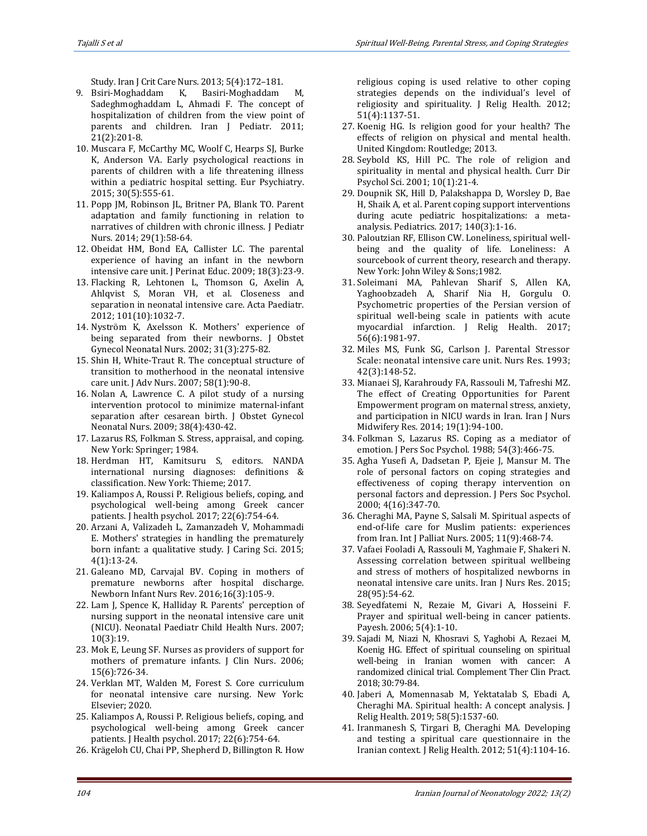Study. Iran J Crit Care Nurs. 2013; 5(4):172–181.

- 9. Bsiri-Moghaddam K, Basiri-Moghaddam M, Sadeghmoghaddam L, Ahmadi F. The concept of hospitalization of children from the view point of parents and children. Iran J Pediatr. 2011; 21(2):201-8.
- 10. Muscara F, McCarthy MC, Woolf C, Hearps SJ, Burke K, Anderson VA. Early psychological reactions in parents of children with a life threatening illness within a pediatric hospital setting. Eur Psychiatry. 2015; 30(5):555-61.
- 11. Popp JM, Robinson JL, Britner PA, Blank TO. Parent adaptation and family functioning in relation to narratives of children with chronic illness. J Pediatr Nurs. 2014; 29(1):58-64.
- 12. Obeidat HM, Bond EA, Callister LC. The parental experience of having an infant in the newborn intensive care unit. J Perinat Educ. 2009; 18(3):23-9.
- 13. Flacking R, Lehtonen L, Thomson G, Axelin A, Ahlqvist S, Moran VH, et al. Closeness and separation in neonatal intensive care. Acta Paediatr. 2012; 101(10):1032-7.
- 14. Nyström K, Axelsson K. Mothers' experience of being separated from their newborns. J Obstet Gynecol Neonatal Nurs. 2002; 31(3):275-82.
- 15. Shin H, White‐Traut R. The conceptual structure of transition to motherhood in the neonatal intensive care unit. J Adv Nurs. 2007; 58(1):90-8.
- 16. Nolan A, Lawrence C. A pilot study of a nursing intervention protocol to minimize maternal-infant separation after cesarean birth. J Obstet Gynecol Neonatal Nurs. 2009; 38(4):430-42.
- 17. Lazarus RS, Folkman S. Stress, appraisal, and coping. New York: Springer; 1984.
- 18. Herdman HT, Kamitsuru S, editors. NANDA international nursing diagnoses: definitions & classification. New York: Thieme; 2017.
- 19. Kaliampos A, Roussi P. Religious beliefs, coping, and psychological well-being among Greek cancer patients. J health psychol. 2017; 22(6):754-64.
- 20. Arzani A, Valizadeh L, Zamanzadeh V, Mohammadi E. Mothers' strategies in handling the prematurely born infant: a qualitative study. J Caring Sci. 2015; 4(1):13-24.
- 21. Galeano MD, Carvajal BV. Coping in mothers of premature newborns after hospital discharge. Newborn Infant Nurs Rev. 2016;16(3):105-9.
- 22. Lam J, Spence K, Halliday R. Parents' perception of nursing support in the neonatal intensive care unit (NICU). Neonatal Paediatr Child Health Nurs. 2007; 10(3):19.
- 23. Mok E, Leung SF. Nurses as providers of support for mothers of premature infants. J Clin Nurs. 2006; 15(6):726-34.
- 24. Verklan MT, Walden M, Forest S. Core curriculum for neonatal intensive care nursing. New York: Elsevier; 2020.
- 25. Kaliampos A, Roussi P. Religious beliefs, coping, and psychological well-being among Greek cancer patients. J Health psychol. 2017; 22(6):754-64.
- 26. Krägeloh CU, Chai PP, Shepherd D, Billington R. How

religious coping is used relative to other coping strategies depends on the individual's level of religiosity and spirituality. J Relig Health. 2012; 51(4):1137-51.

- 27. Koenig HG. Is religion good for your health? The effects of religion on physical and mental health. United Kingdom: Routledge; 2013.
- 28. Seybold KS, Hill PC. The role of religion and spirituality in mental and physical health. Curr Dir Psychol Sci. 2001; 10(1):21-4.
- 29. Doupnik SK, Hill D, Palakshappa D, Worsley D, Bae H, Shaik A, et al. Parent coping support interventions during acute pediatric hospitalizations: a metaanalysis. Pediatrics. 2017; 140(3):1-16.
- 30. Paloutzian RF, Ellison CW. Loneliness, spiritual wellbeing and the quality of life. Loneliness: A sourcebook of current theory, research and therapy. New York: John Wiley & Sons;1982.
- 31. Soleimani MA, Pahlevan Sharif S, Allen KA, Yaghoobzadeh A, Sharif Nia H, Gorgulu O. Psychometric properties of the Persian version of spiritual well-being scale in patients with acute myocardial infarction. J Relig Health. 2017; 56(6):1981-97.
- 32. Miles MS, Funk SG, Carlson J. Parental Stressor Scale: neonatal intensive care unit. Nurs Res. 1993; 42(3):148-52.
- 33. Mianaei SJ, Karahroudy FA, Rassouli M, Tafreshi MZ. The effect of Creating Opportunities for Parent Empowerment program on maternal stress, anxiety, and participation in NICU wards in Iran. Iran J Nurs Midwifery Res. 2014; 19(1):94-100.
- 34. Folkman S, Lazarus RS. Coping as a mediator of emotion. J Pers Soc Psychol. 1988; 54(3):466-75.
- 35. Agha Yusefi A, Dadsetan P, Ejeie J, Mansur M. The role of personal factors on coping strategies and effectiveness of coping therapy intervention on personal factors and depression. J Pers Soc Psychol. 2000; 4(16):347-70.
- 36. Cheraghi MA, Payne S, Salsali M. Spiritual aspects of end-of-life care for Muslim patients: experiences from Iran. Int J Palliat Nurs. 2005; 11(9):468-74.
- 37. Vafaei Fooladi A, Rassouli M, Yaghmaie F, Shakeri N. Assessing correlation between spiritual wellbeing and stress of mothers of hospitalized newborns in neonatal intensive care units. Iran J Nurs Res. 2015; 28(95):54-62.
- 38. Seyedfatemi N, Rezaie M, Givari A, Hosseini F. Prayer and spiritual well-being in cancer patients. Payesh. 2006; 5(4):1-10.
- 39. Sajadi M, Niazi N, Khosravi S, Yaghobi A, Rezaei M, Koenig HG. Effect of spiritual counseling on spiritual well-being in Iranian women with cancer: A randomized clinical trial. Complement Ther Clin Pract. 2018; 30:79-84.
- 40. Jaberi A, Momennasab M, Yektatalab S, Ebadi A, Cheraghi MA. Spiritual health: A concept analysis. J Relig Health. 2019; 58(5):1537-60.
- 41. Iranmanesh S, Tirgari B, Cheraghi MA. Developing and testing a spiritual care questionnaire in the Iranian context. J Relig Health. 2012; 51(4):1104-16.